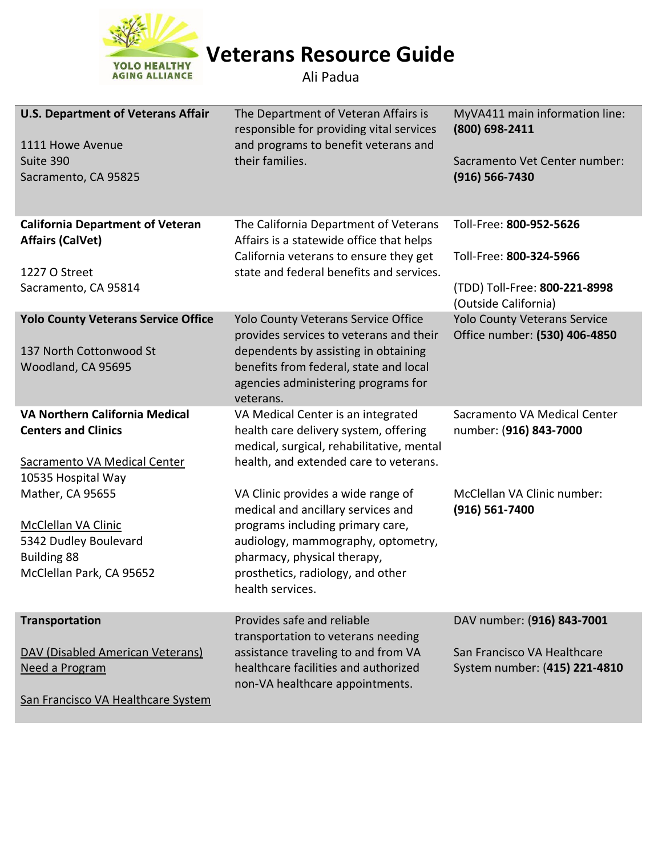

**Veterans Resource Guide**

Ali Padua

| <b>U.S. Department of Veterans Affair</b>  | The Department of Veteran Affairs is<br>responsible for providing vital services | MyVA411 main information line:<br>(800) 698-2411 |
|--------------------------------------------|----------------------------------------------------------------------------------|--------------------------------------------------|
| 1111 Howe Avenue                           | and programs to benefit veterans and                                             |                                                  |
| Suite 390                                  | their families.                                                                  | Sacramento Vet Center number:                    |
| Sacramento, CA 95825                       |                                                                                  | $(916) 566 - 7430$                               |
|                                            |                                                                                  |                                                  |
| <b>California Department of Veteran</b>    | The California Department of Veterans                                            | Toll-Free: 800-952-5626                          |
| <b>Affairs (CalVet)</b>                    | Affairs is a statewide office that helps                                         |                                                  |
|                                            | California veterans to ensure they get                                           | Toll-Free: 800-324-5966                          |
|                                            | state and federal benefits and services.                                         |                                                  |
| 1227 O Street                              |                                                                                  |                                                  |
| Sacramento, CA 95814                       |                                                                                  | (TDD) Toll-Free: 800-221-8998                    |
|                                            |                                                                                  | (Outside California)                             |
| <b>Yolo County Veterans Service Office</b> | Yolo County Veterans Service Office                                              | <b>Yolo County Veterans Service</b>              |
|                                            | provides services to veterans and their                                          | Office number: (530) 406-4850                    |
| 137 North Cottonwood St                    | dependents by assisting in obtaining                                             |                                                  |
| Woodland, CA 95695                         | benefits from federal, state and local                                           |                                                  |
|                                            | agencies administering programs for                                              |                                                  |
|                                            | veterans.                                                                        |                                                  |
| VA Northern California Medical             | VA Medical Center is an integrated                                               | Sacramento VA Medical Center                     |
| <b>Centers and Clinics</b>                 | health care delivery system, offering                                            | number: (916) 843-7000                           |
|                                            | medical, surgical, rehabilitative, mental                                        |                                                  |
| Sacramento VA Medical Center               | health, and extended care to veterans.                                           |                                                  |
| 10535 Hospital Way                         |                                                                                  |                                                  |
| Mather, CA 95655                           | VA Clinic provides a wide range of                                               | McClellan VA Clinic number:                      |
|                                            | medical and ancillary services and                                               | $(916) 561 - 7400$                               |
| McClellan VA Clinic                        | programs including primary care,                                                 |                                                  |
| 5342 Dudley Boulevard                      | audiology, mammography, optometry,                                               |                                                  |
| <b>Building 88</b>                         | pharmacy, physical therapy,                                                      |                                                  |
|                                            |                                                                                  |                                                  |
| McClellan Park, CA 95652                   | prosthetics, radiology, and other                                                |                                                  |
|                                            | health services.                                                                 |                                                  |
| <b>Transportation</b>                      | Provides safe and reliable                                                       | DAV number: (916) 843-7001                       |
|                                            |                                                                                  |                                                  |
|                                            | transportation to veterans needing                                               | San Francisco VA Healthcare                      |
| DAV (Disabled American Veterans)           | assistance traveling to and from VA                                              |                                                  |
| Need a Program                             | healthcare facilities and authorized                                             | System number: (415) 221-4810                    |
|                                            | non-VA healthcare appointments.                                                  |                                                  |
| San Francisco VA Healthcare System         |                                                                                  |                                                  |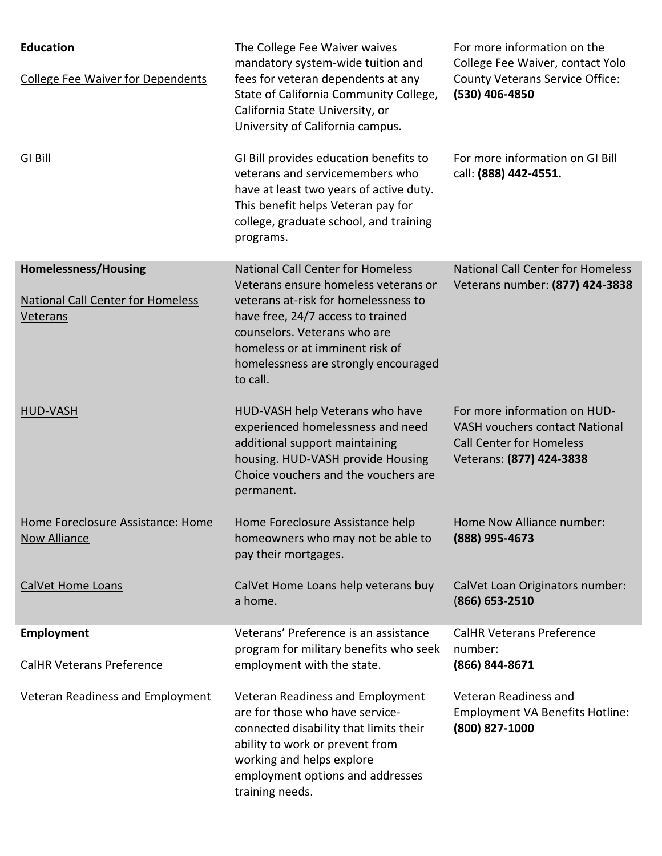| <b>Education</b><br><b>College Fee Waiver for Dependents</b>                        | The College Fee Waiver waives<br>mandatory system-wide tuition and<br>fees for veteran dependents at any<br>State of California Community College,<br>California State University, or<br>University of California campus.                                                            | For more information on the<br>College Fee Waiver, contact Yolo<br><b>County Veterans Service Office:</b><br>(530) 406-4850          |
|-------------------------------------------------------------------------------------|--------------------------------------------------------------------------------------------------------------------------------------------------------------------------------------------------------------------------------------------------------------------------------------|--------------------------------------------------------------------------------------------------------------------------------------|
| <b>GI Bill</b>                                                                      | GI Bill provides education benefits to<br>veterans and servicemembers who<br>have at least two years of active duty.<br>This benefit helps Veteran pay for<br>college, graduate school, and training<br>programs.                                                                    | For more information on GI Bill<br>call: (888) 442-4551.                                                                             |
| <b>Homelessness/Housing</b><br><b>National Call Center for Homeless</b><br>Veterans | <b>National Call Center for Homeless</b><br>Veterans ensure homeless veterans or<br>veterans at-risk for homelessness to<br>have free, 24/7 access to trained<br>counselors. Veterans who are<br>homeless or at imminent risk of<br>homelessness are strongly encouraged<br>to call. | <b>National Call Center for Homeless</b><br>Veterans number: (877) 424-3838                                                          |
| <b>HUD-VASH</b>                                                                     | HUD-VASH help Veterans who have<br>experienced homelessness and need<br>additional support maintaining<br>housing. HUD-VASH provide Housing<br>Choice vouchers and the vouchers are<br>permanent.                                                                                    | For more information on HUD-<br><b>VASH vouchers contact National</b><br><b>Call Center for Homeless</b><br>Veterans: (877) 424-3838 |
| Home Foreclosure Assistance: Home<br><b>Now Alliance</b>                            | Home Foreclosure Assistance help<br>homeowners who may not be able to<br>pay their mortgages.                                                                                                                                                                                        | Home Now Alliance number:<br>(888) 995-4673                                                                                          |
| <b>CalVet Home Loans</b>                                                            | CalVet Home Loans help veterans buy<br>a home.                                                                                                                                                                                                                                       | CalVet Loan Originators number:<br>$(866)$ 653-2510                                                                                  |
| <b>Employment</b>                                                                   | Veterans' Preference is an assistance<br>program for military benefits who seek                                                                                                                                                                                                      | <b>CalHR Veterans Preference</b><br>number:                                                                                          |
| <b>CalHR Veterans Preference</b>                                                    | employment with the state.                                                                                                                                                                                                                                                           | (866) 844-8671                                                                                                                       |
| <b>Veteran Readiness and Employment</b>                                             | Veteran Readiness and Employment<br>are for those who have service-<br>connected disability that limits their<br>ability to work or prevent from<br>working and helps explore<br>employment options and addresses<br>training needs.                                                 | Veteran Readiness and<br><b>Employment VA Benefits Hotline:</b><br>(800) 827-1000                                                    |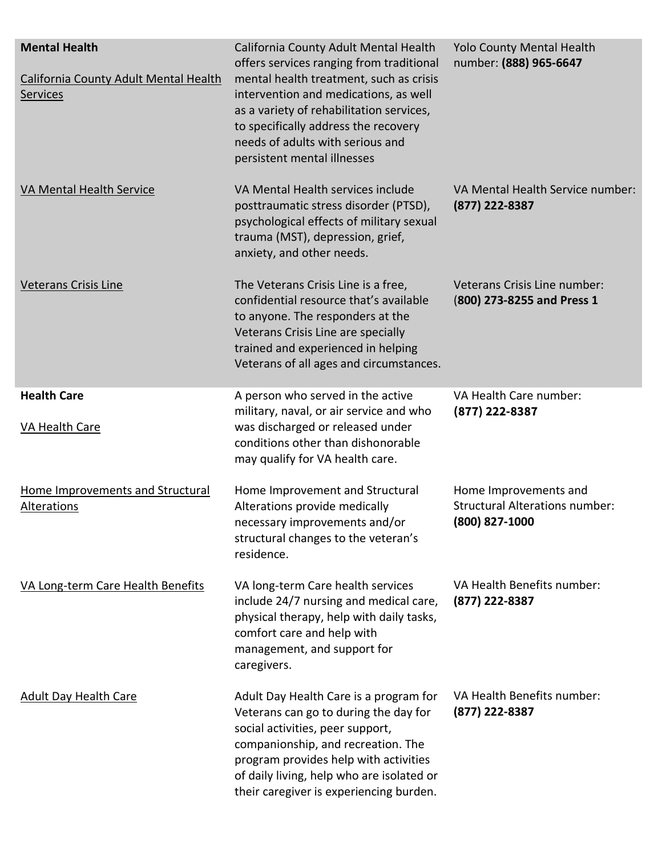| <b>Mental Health</b>                              | California County Adult Mental Health<br>offers services ranging from traditional                                                                                                                                                                                                          | <b>Yolo County Mental Health</b><br>number: (888) 965-6647                       |
|---------------------------------------------------|--------------------------------------------------------------------------------------------------------------------------------------------------------------------------------------------------------------------------------------------------------------------------------------------|----------------------------------------------------------------------------------|
| California County Adult Mental Health<br>Services | mental health treatment, such as crisis<br>intervention and medications, as well<br>as a variety of rehabilitation services,<br>to specifically address the recovery<br>needs of adults with serious and<br>persistent mental illnesses                                                    |                                                                                  |
| <b>VA Mental Health Service</b>                   | VA Mental Health services include<br>posttraumatic stress disorder (PTSD),<br>psychological effects of military sexual<br>trauma (MST), depression, grief,<br>anxiety, and other needs.                                                                                                    | VA Mental Health Service number:<br>$(877)$ 222-8387                             |
| <b>Veterans Crisis Line</b>                       | The Veterans Crisis Line is a free,<br>confidential resource that's available<br>to anyone. The responders at the<br>Veterans Crisis Line are specially<br>trained and experienced in helping<br>Veterans of all ages and circumstances.                                                   | Veterans Crisis Line number:<br>(800) 273-8255 and Press 1                       |
| <b>Health Care</b><br>VA Health Care              | A person who served in the active<br>military, naval, or air service and who<br>was discharged or released under<br>conditions other than dishonorable<br>may qualify for VA health care.                                                                                                  | VA Health Care number:<br>(877) 222-8387                                         |
| Home Improvements and Structural<br>Alterations   | Home Improvement and Structural<br>Alterations provide medically<br>necessary improvements and/or<br>structural changes to the veteran's<br>residence.                                                                                                                                     | Home Improvements and<br><b>Structural Alterations number:</b><br>(800) 827-1000 |
| VA Long-term Care Health Benefits                 | VA long-term Care health services<br>include 24/7 nursing and medical care,<br>physical therapy, help with daily tasks,<br>comfort care and help with<br>management, and support for<br>caregivers.                                                                                        | VA Health Benefits number:<br>(877) 222-8387                                     |
| <b>Adult Day Health Care</b>                      | Adult Day Health Care is a program for<br>Veterans can go to during the day for<br>social activities, peer support,<br>companionship, and recreation. The<br>program provides help with activities<br>of daily living, help who are isolated or<br>their caregiver is experiencing burden. | VA Health Benefits number:<br>(877) 222-8387                                     |